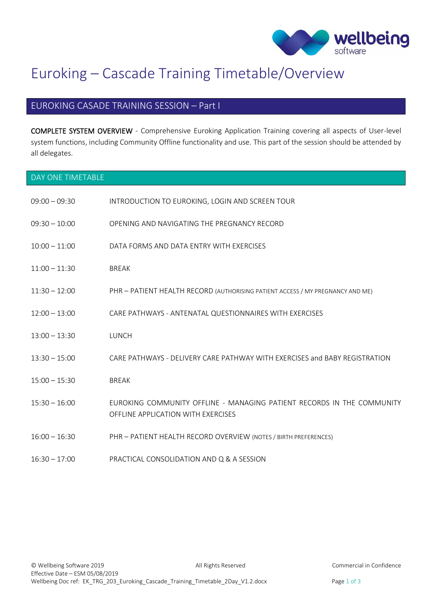

# Euroking – Cascade Training Timetable/Overview

#### EUROKING CASADE TRAINING SESSION – Part I

COMPLETE SYSTEM OVERVIEW - Comprehensive Euroking Application Training covering all aspects of User-level system functions, including Community Offline functionality and use. This part of the session should be attended by all delegates.

| DAY ONE TIMETABLE |                                                                                                              |
|-------------------|--------------------------------------------------------------------------------------------------------------|
| $09:00 - 09:30$   | INTRODUCTION TO EUROKING, LOGIN AND SCREEN TOUR                                                              |
| $09:30 - 10:00$   | OPENING AND NAVIGATING THE PREGNANCY RECORD                                                                  |
| $10:00 - 11:00$   | DATA FORMS AND DATA ENTRY WITH EXERCISES                                                                     |
| $11:00 - 11:30$   | <b>BREAK</b>                                                                                                 |
| $11:30 - 12:00$   | PHR - PATIENT HEALTH RECORD (AUTHORISING PATIENT ACCESS / MY PREGNANCY AND ME)                               |
| $12:00 - 13:00$   | CARE PATHWAYS - ANTENATAL QUESTIONNAIRES WITH EXERCISES                                                      |
| $13:00 - 13:30$   | LUNCH                                                                                                        |
| $13:30 - 15:00$   | CARE PATHWAYS - DELIVERY CARE PATHWAY WITH EXERCISES and BABY REGISTRATION                                   |
| $15:00 - 15:30$   | <b>BREAK</b>                                                                                                 |
| $15:30 - 16:00$   | EUROKING COMMUNITY OFFLINE - MANAGING PATIENT RECORDS IN THE COMMUNITY<br>OFFLINE APPLICATION WITH EXERCISES |
| $16:00 - 16:30$   | PHR - PATIENT HEALTH RECORD OVERVIEW (NOTES / BIRTH PREFERENCES)                                             |
| $16:30 - 17:00$   | PRACTICAL CONSOLIDATION AND Q & A SESSION                                                                    |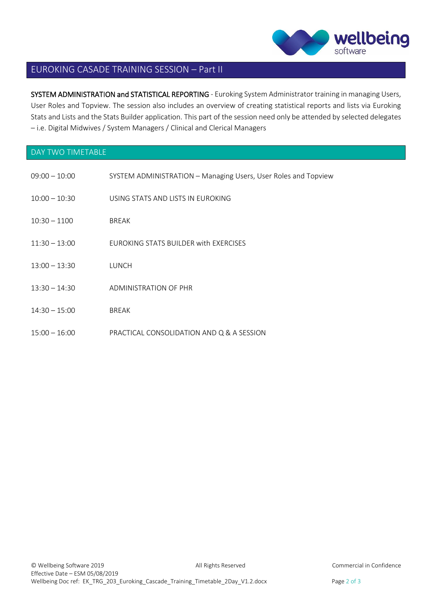

#### EUROKING CASADE TRAINING SESSION – Part II

SYSTEM ADMINISTRATION and STATISTICAL REPORTING - Euroking System Administrator training in managing Users, User Roles and Topview. The session also includes an overview of creating statistical reports and lists via Euroking Stats and Lists and the Stats Builder application. This part of the session need only be attended by selected delegates – i.e. Digital Midwives / System Managers / Clinical and Clerical Managers

### DAY TWO TIMETABLE

| $09:00 - 10:00$ | SYSTEM ADMINISTRATION - Managing Users, User Roles and Topview |
|-----------------|----------------------------------------------------------------|
| $10:00 - 10:30$ | USING STATS AND LISTS IN EUROKING                              |
| $10:30 - 1100$  | <b>BREAK</b>                                                   |
| $11:30 - 13:00$ | FUROKING STATS BUILDER with EXERCISES                          |
| $13:00 - 13:30$ | LUNCH                                                          |
| $13:30 - 14:30$ | ADMINISTRATION OF PHR                                          |
| $14:30 - 15:00$ | <b>BREAK</b>                                                   |
| $15:00 - 16:00$ | PRACTICAL CONSOLIDATION AND Q & A SESSION                      |